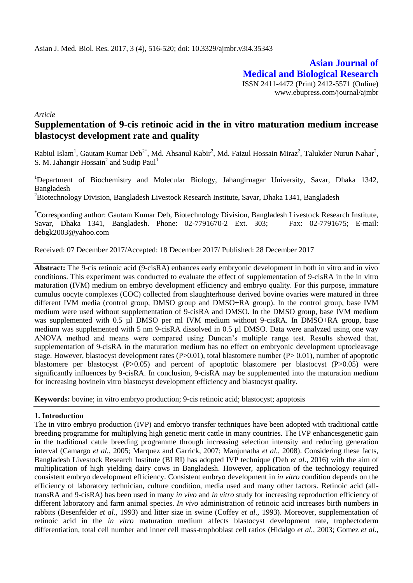**Asian Journal of Medical and Biological Research** ISSN 2411-4472 (Print) 2412-5571 (Online) www.ebupress.com/journal/ajmbr

*Article*

# **Supplementation of 9-cis retinoic acid in the in vitro maturation medium increase blastocyst development rate and quality**

Rabiul Islam<sup>1</sup>, Gautam Kumar Deb<sup>2\*</sup>, Md. Ahsanul Kabir<sup>2</sup>, Md. Faizul Hossain Miraz<sup>2</sup>, Talukder Nurun Nahar<sup>2</sup>, S. M. Jahangir Hossain<sup>2</sup> and Sudip Paul<sup>1</sup>

<sup>1</sup>Department of Biochemistry and Molecular Biology, Jahangirnagar University, Savar, Dhaka 1342, Bangladesh

 ${}^{2}$ Biotechnology Division, Bangladesh Livestock Research Institute, Savar, Dhaka 1341, Bangladesh

\*Corresponding author: Gautam Kumar Deb, Biotechnology Division, Bangladesh Livestock Research Institute, Savar, Dhaka 1341, Bangladesh. Phone: 02-7791670-2 Ext. 303; Fax: 02-7791675; E-mail: [debgk2003@yahoo.com](mailto:debgk2003@yahoo.com)

Received: 07 December 2017/Accepted: 18 December 2017/ Published: 28 December 2017

**Abstract:** The 9-cis retinoic acid (9-cisRA) enhances early embryonic development in both in vitro and in vivo conditions. This experiment was conducted to evaluate the effect of supplementation of 9-cisRA in the in vitro maturation (IVM) medium on embryo development efficiency and embryo quality. For this purpose, immature cumulus oocyte complexes (COC) collected from slaughterhouse derived bovine ovaries were matured in three different IVM media (control group, DMSO group and DMSO+RA group). In the control group, base IVM medium were used without supplementation of 9-cisRA and DMSO. In the DMSO group, base IVM medium was supplemented with 0.5 µl DMSO per ml IVM medium without 9-cisRA. In DMSO+RA group, base medium was supplemented with 5 nm 9-cisRA dissolved in 0.5 µl DMSO. Data were analyzed using one way ANOVA method and means were compared using Duncan's multiple range test. Results showed that, supplementation of 9-cisRA in the maturation medium has no effect on embryonic development uptocleavage stage. However, blastocyst development rates  $(P>0.01)$ , total blastomere number  $(P>0.01)$ , number of apoptotic blastomere per blastocyst (P>0.05) and percent of apoptotic blastomere per blastocyst (P>0.05) were significantly influences by 9-cisRA. In conclusion, 9-cisRA may be supplemented into the maturation medium for increasing bovinein vitro blastocyst development efficiency and blastocyst quality.

**Keywords:** bovine; in vitro embryo production; 9-cis retinoic acid; blastocyst; apoptosis

#### **1. Introduction**

The in vitro embryo production (IVP) and embryo transfer techniques have been adopted with traditional cattle breeding programme for multiplying high genetic merit cattle in many countries. The IVP enhancesgenetic gain in the traditional cattle breeding programme through increasing selection intensity and reducing generation interval (Camargo *et al.*, 2005; Marquez and Garrick, 2007; Manjunatha *et al.,* 2008). Considering these facts, Bangladesh Livestock Research Institute (BLRI) has adopted IVP technique (Deb *et al.,* 2016) with the aim of multiplication of high yielding dairy cows in Bangladesh. However, application of the technology required consistent embryo development efficiency. Consistent embryo development in *in vitro* condition depends on the efficiency of laboratory technician, culture condition, media used and many other factors. Retinoic acid (alltransRA and 9-cisRA) has been used in many *in vivo* and *in vitro* study for increasing reproduction efficiency of different laboratory and farm animal species. *In vivo* administration of retinoic acid increases birth numbers in rabbits (Besenfelder *et al.,* 1993) and litter size in swine (Coffey *et al.,* 1993). Moreover, supplementation of retinoic acid in the *in vitro* maturation medium affects blastocyst development rate, trophectoderm differentiation, total cell number and inner cell mass-trophoblast cell ratios (Hidalgo *et al.,* 2003; Gomez *et al.,*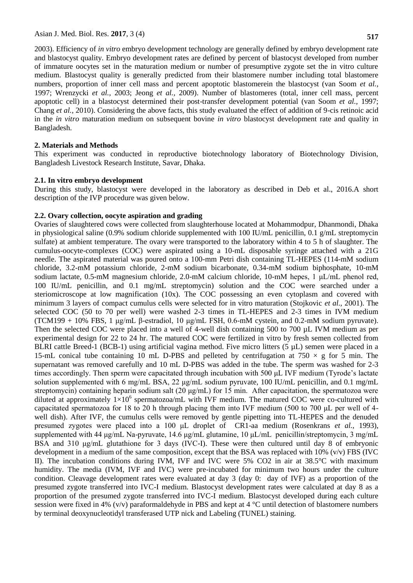2003). Efficiency of *in vitro* embryo development technology are generally defined by embryo development rate and blastocyst quality. Embryo development rates are defined by percent of blastocyst developed from number of immature oocytes set in the maturation medium or number of presumptive zygote set the in vitro culture medium. Blastocyst quality is generally predicted from their blastomere number including total blastomere numbers, proportion of inner cell mass and percent apoptotic blastomerein the blastocyst (van Soom *et al.,*

1997; Wrenzycki *et al.,* 2003; Jeong *et al.,* 2009). Number of blastomeres (total, inner cell mass, percent apoptotic cell) in a blastocyst determined their post-transfer development potential (van Soom *et al.,* 1997; Chang *et al.,* 2010). Considering the above facts, this study evaluated the effect of addition of 9-cis retinoic acid in the *in vitro* maturation medium on subsequent bovine *in vitro* blastocyst development rate and quality in Bangladesh.

## **2. Materials and Methods**

This experiment was conducted in reproductive biotechnology laboratory of Biotechnology Division, Bangladesh Livestock Research Institute, Savar, Dhaka.

# **2.1. In vitro embryo development**

During this study, blastocyst were developed in the laboratory as described in Deb et al., 2016.A short description of the IVP procedure was given below.

# **2.2. Ovary collection, oocyte aspiration and grading**

Ovaries of slaughtered cows were collected from slaughterhouse located at Mohammodpur, Dhanmondi, Dhaka in physiological saline (0.9% sodium chloride supplemented with 100 IU/mL penicillin, 0.1 g/mL streptomycin sulfate) at ambient temperature. The ovary were transported to the laboratory within 4 to 5 h of slaughter. The cumulus-oocyte-complexes (COC) were aspirated using a 10-mL disposable syringe attached with a 21G needle. The aspirated material was poured onto a 100-mm Petri dish containing TL-HEPES (114-mM sodium chloride, 3.2-mM potassium chloride, 2-mM sodium bicarbonate, 0.34-mM sodium biphosphate, 10-mM sodium lactate, 0.5-mM magnesium chloride, 2.0-mM calcium chloride, 10-mM hepes, 1 μL/mL phenol red, 100 IU/mL penicillin, and 0.1 mg/mL streptomycin) solution and the COC were searched under a steriomicroscope at low magnification (10x). The COC possessing an even cytoplasm and covered with minimum 3 layers of compact cumulus cells were selected for in vitro maturation (Stojkovic *et al.,* 2001). The selected COC (50 to 70 per well) were washed 2-3 times in TL-HEPES and 2-3 times in IVM medium (TCM199 + 10% FBS, 1 μg/mL β-estradiol, 10 μg/mL FSH, 0.6-mM cystein, and 0.2-mM sodium pyruvate). Then the selected COC were placed into a well of 4-well dish containing 500 to 700 µL IVM medium as per experimental design for 22 to 24 hr. The matured COC were fertilized in vitro by fresh semen collected from BLRI cattle Breed-1 (BCB-1) using artificial vagina method. Five micro litters (5 µL) semen were placed in a 15-mL conical tube containing 10 mL D-PBS and pelleted by centrifugation at 750  $\times$  g for 5 min. The supernatant was removed carefully and 10 mL D-PBS was added in the tube. The sperm was washed for 2-3 times accordingly. Then sperm were capacitated through incubation with 500 μL IVF medium (Tyrode's lactate solution supplemented with 6 mg/mL BSA, 22 μg/mL sodium pyruvate, 100 IU/mL penicillin, and 0.1 mg/mL streptomycin) containing heparin sodium salt (20 μg/mL) for 15 min. After capacitation, the spermatozoa were diluted at approximately  $1\times10^6$  spermatozoa/mL with IVF medium. The matured COC were co-cultured with capacitated spermatozoa for 18 to 20 h through placing them into IVF medium (500 to 700 μL per well of 4 well dish). After IVF, the cumulus cells were removed by gentle pipetting into TL-HEPES and the denuded presumed zygotes were placed into a 100 μL droplet of CR1-aa medium (Rosenkrans *et al.,* 1993), supplemented with 44 μg/mL Na-pyruvate, 14.6 μg/mL glutamine, 10 μL/mL penicillin/streptomycin, 3 mg/mL BSA and 310 μg/mL glutathione for 3 days (IVC-I). These were then cultured until day 8 of embryonic development in a medium of the same composition, except that the BSA was replaced with  $10\%$  (v/v) FBS (IVC II). The incubation conditions during IVM, IVF and IVC were 5% CO2 in air at 38.5°C with maximum humidity. The media (IVM, IVF and IVC) were pre-incubated for minimum two hours under the culture condition. Cleavage development rates were evaluated at day 3 (day 0: day of IVF) as a proportion of the presumed zygote transferred into IVC-I medium. Blastocyst development rates were calculated at day 8 as a proportion of the presumed zygote transferred into IVC-I medium. Blastocyst developed during each culture session were fixed in 4% (v/v) paraformaldehyde in PBS and kept at  $4^{\circ}$ C until detection of blastomere numbers by terminal deoxynucleotidyl transferased UTP nick and Labeling (TUNEL) staining.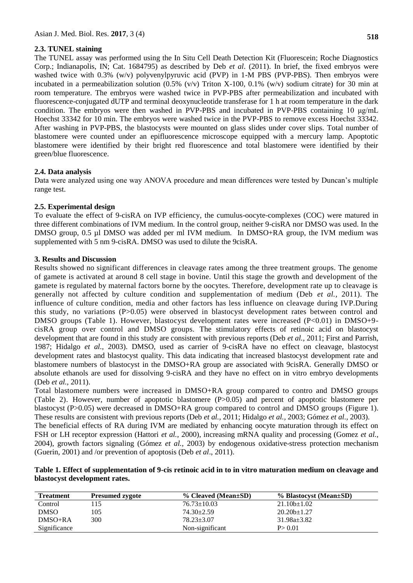## **2.3. TUNEL staining**

The TUNEL assay was performed using the In Situ Cell Death Detection Kit (Fluorescein; Roche Diagnostics Corp.; Indianapolis, IN; Cat. 1684795) as described by Deb *et al*. (2011). In brief, the fixed embryos were washed twice with 0.3% (w/v) polyvenylpyruvic acid (PVP) in 1-M PBS (PVP-PBS). Then embryos were incubated in a permeabilization solution  $(0.5\%$  (v/v) Triton X-100, 0.1% (w/v) sodium citrate) for 30 min at room temperature. The embryos were washed twice in PVP-PBS after permeabilization and incubated with fluorescence-conjugated dUTP and terminal deoxynucleotide transferase for 1 h at room temperature in the dark condition. The embryos were then washed in PVP-PBS and incubated in PVP-PBS containing 10 μg/mL Hoechst 33342 for 10 min. The embryos were washed twice in the PVP-PBS to remove excess Hoechst 33342. After washing in PVP-PBS, the blastocysts were mounted on glass slides under cover slips. Total number of blastomere were counted under an epifluorescence microscope equipped with a mercury lamp. Apoptotic blastomere were identified by their bright red fluorescence and total blastomere were identified by their green/blue fluorescence.

## **2.4. Data analysis**

Data were analyzed using one way ANOVA procedure and mean differences were tested by Duncan's multiple range test.

## **2.5. Experimental design**

To evaluate the effect of 9-cisRA on IVP efficiency, the cumulus-oocyte-complexes (COC) were matured in three different combinations of IVM medium. In the control group, neither 9-cisRA nor DMSO was used. In the DMSO group, 0.5 µl DMSO was added per ml IVM medium. In DMSO+RA group, the IVM medium was supplemented with 5 nm 9-cisRA. DMSO was used to dilute the 9cisRA.

#### **3. Results and Discussion**

Results showed no significant differences in cleavage rates among the three treatment groups. The genome of gamete is activated at around 8 cell stage in bovine. Until this stage the growth and development of the gamete is regulated by maternal factors borne by the oocytes. Therefore, development rate up to cleavage is generally not affected by culture condition and supplementation of medium (Deb *et al.,* 2011). The influence of culture condition, media and other factors has less influence on cleavage during IVP.During this study, no variations (P>0.05) were observed in blastocyst development rates between control and DMSO groups (Table 1). However, blastocyst development rates were increased (P<0.01) in DMSO+9cisRA group over control and DMSO groups. The stimulatory effects of retinoic acid on blastocyst development that are found in this study are consistent with previous reports (Deb *et al.,* 2011; First and Parrish, 1987; Hidalgo *et al.,* 2003). DMSO, used as carrier of 9-cisRA have no effect on cleavage, blastocyst development rates and blastocyst quality. This data indicating that increased blastocyst development rate and blastomere numbers of blastocyst in the DMSO+RA group are associated with 9cisRA. Generally DMSO or absolute ethanols are used for dissolving 9-cisRA and they have no effect on in vitro embryo developments (Deb *et al.,* 2011).

Total blastomere numbers were increased in DMSO+RA group compared to contro and DMSO groups (Table 2). However, number of apoptotic blastomere (P>0.05) and percent of apoptotic blastomere per blastocyst (P>0.05) were decreased in DMSO+RA group compared to control and DMSO groups (Figure 1). These results are consistent with previous reports (Deb *et al.,* 2011; Hidalgo *et al.,* 2003; Gómez *et al.,* 2003).

The beneficial effects of RA during IVM are mediated by enhancing oocyte maturation through its effect on FSH or LH receptor expression (Hattori *et al.,* 2000), increasing mRNA quality and processing (Gomez *et al.,* 2004), growth factors signaling (Gómez *et al.,* 2003) by endogenous oxidative-stress protection mechanism (Guerin, 2001) and /or prevention of apoptosis (Deb *et al*., 2011).

## **Table 1. Effect of supplementation of 9-cis retinoic acid in to in vitro maturation medium on cleavage and blastocyst development rates.**

| <b>Treatment</b> | <b>Presumed zygote</b> | % Cleaved (Mean±SD) | % Blastocyst (Mean±SD) |
|------------------|------------------------|---------------------|------------------------|
| Control          | 15                     | $76.73 \pm 10.03$   | $21.10b \pm 1.02$      |
| <b>DMSO</b>      | 105                    | $74.30 \pm 2.59$    | $20.20b + 1.27$        |
| $DMSO+RA$        | 300                    | $78.23 + 3.07$      | $31.98a+3.82$          |
| Significance     |                        | Non-significant     | P > 0.01               |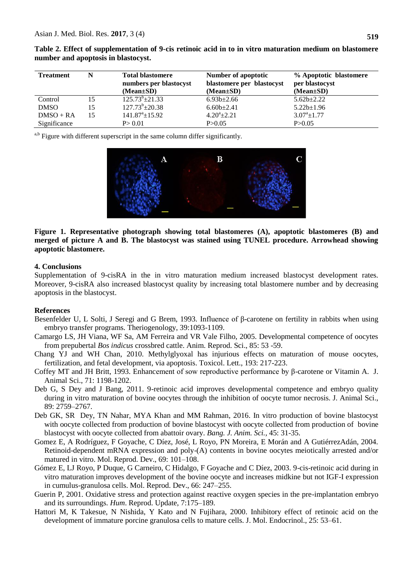| <b>Treatment</b> | N  | <b>Total blastomere</b><br>numbers per blastocyst<br>$(Mean \pm SD)$ | Number of apoptotic<br>blastomere per blastocyst<br>$(Mean \pm SD)$ | % Apoptotic blastomere<br>per blastocyst<br>$(Mean \pm SD)$ |
|------------------|----|----------------------------------------------------------------------|---------------------------------------------------------------------|-------------------------------------------------------------|
| Control          | 15 | $125.73^{b} \pm 21.33$                                               | $6.93b{\pm}2.66$                                                    | $5.62b \pm 2.22$                                            |
| <b>DMSO</b>      | 15 | $127.73^b \pm 20.38$                                                 | $6.60b \pm 2.41$                                                    | $5.22b \pm 1.96$                                            |
| $DMSO + RA$      | 15 | $141.87^{\circ}$ ±15.92                                              | $4.20^a \pm 2.21$                                                   | $3.07^a \pm 1.77$                                           |
| Significance     |    | P > 0.01                                                             | P > 0.05                                                            | P > 0.05                                                    |

**Table 2. Effect of supplementation of 9-cis retinoic acid in to in vitro maturation medium on blastomere number and apoptosis in blastocyst.**

a,b Figure with different superscript in the same column differ significantly.



**Figure 1. Representative photograph showing total blastomeres (A), apoptotic blastomeres (B) and merged of picture A and B. The blastocyst was stained using TUNEL procedure. Arrowhead showing apoptotic blastomere.**

#### **4. Conclusions**

Supplementation of 9-cisRA in the in vitro maturation medium increased blastocyst development rates. Moreover, 9-cisRA also increased blastocyst quality by increasing total blastomere number and by decreasing apoptosis in the blastocyst.

#### **References**

- Besenfelder U, L Solti, J Seregi and G Brem, 1993. Influence of β-carotene on fertility in rabbits when using embryo transfer programs. Theriogenology, 39:1093-1109.
- Camargo LS, JH Viana, WF Sa, AM Ferreira and VR Vale Filho, 2005. Developmental competence of oocytes from prepubertal *Bos indicus* crossbred cattle. Anim. Reprod. Sci., 85: 53 -59.
- Chang YJ and WH Chan, 2010. Methylglyoxal has injurious effects on maturation of mouse oocytes, fertilization, and fetal development, via apoptosis. Toxicol. Lett., 193: 217-223.
- Coffey MT and JH Britt, 1993. Enhancement of sow reproductive performance by β-carotene or Vitamin A. J. Animal Sci., 71: 1198-1202.
- Deb G, S Dey and J Bang, 2011. 9-retinoic acid improves developmental competence and embryo quality during in vitro maturation of bovine oocytes through the inhibition of oocyte tumor necrosis. J. Animal Sci., 89: 2759–2767.
- Deb GK, SR Dey, TN Nahar, MYA Khan and MM Rahman, 2016. In vitro production of bovine blastocyst with oocyte collected from production of bovine blastocyst with oocyte collected from production of bovine blastocyst with oocyte collected from abattoir ovary. *Bang. J. Anim. Sci.,* 45: 31-35.
- Gomez E, A Rodríguez, F Goyache, C Díez, José, L Royo, PN Moreira, E Morán and A GutiérrezAdán, 2004. Retinoid-dependent mRNA expression and poly-(A) contents in bovine oocytes meiotically arrested and/or matured in vitro. Mol. Reprod. Dev., 69: 101–108.
- Gómez E, LJ Royo, P Duque, G Carneiro, C Hidalgo, F Goyache and C Díez, 2003. 9-cis-retinoic acid during in vitro maturation improves development of the bovine oocyte and increases midkine but not IGF-I expression in cumulus-granulosa cells. Mol. Reprod. Dev., 66: 247–255.
- Guerin P, 2001. Oxidative stress and protection against reactive oxygen species in the pre-implantation embryo and its surroundings. *Hum*. Reprod. Update, 7:175–189.
- Hattori M, K Takesue, N Nishida, Y Kato and N Fujihara, 2000. Inhibitory effect of retinoic acid on the development of immature porcine granulosa cells to mature cells. J. Mol. Endocrinol., 25: 53–61.